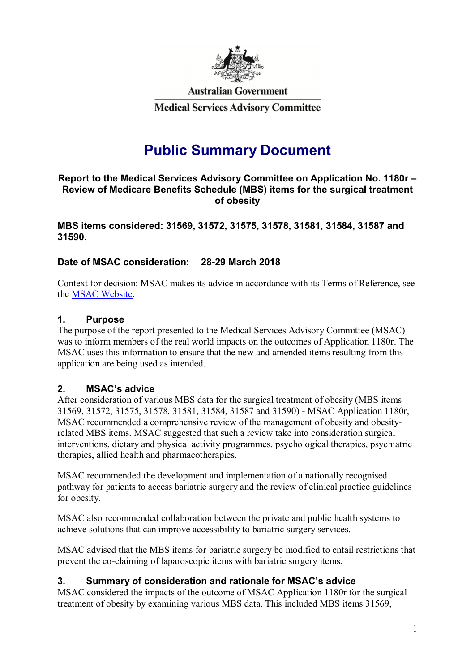

**Australian Government** 

**Medical Services Advisory Committee** 

# **Public Summary Document**

### **Report to the Medical Services Advisory Committee on Application No. 1180r – Review of Medicare Benefits Schedule (MBS) items for the surgical treatment of obesity**

**MBS items considered: 31569, 31572, 31575, 31578, 31581, 31584, 31587 and 31590.** 

# **Date of MSAC consideration: 28-29 March 2018**

Context for decision: MSAC makes its advice in accordance with its Terms of Reference, see the MSAC Website.

### **1. Purpose**

The purpose of the report presented to the Medical Services Advisory Committee (MSAC) was to inform members of the real world impacts on the outcomes of Application 1180r. The MSAC uses this information to ensure that the new and amended items resulting from this application are being used as intended.

# **2. MSAC's advice**

After consideration of various MBS data for the surgical treatment of obesity (MBS items 31569, 31572, 31575, 31578, 31581, 31584, 31587 and 31590) - MSAC Application 1180r, MSAC recommended a comprehensive review of the management of obesity and obesityrelated MBS items. MSAC suggested that such a review take into consideration surgical interventions, dietary and physical activity programmes, psychological therapies, psychiatric therapies, allied health and pharmacotherapies.

MSAC recommended the development and implementation of a nationally recognised pathway for patients to access bariatric surgery and the review of clinical practice guidelines for obesity.

MSAC also recommended collaboration between the private and public health systems to achieve solutions that can improve accessibility to bariatric surgery services.

MSAC advised that the MBS items for bariatric surgery be modified to entail restrictions that prevent the co-claiming of laparoscopic items with bariatric surgery items.

# **3. Summary of consideration and rationale for MSAC's advice**

MSAC considered the impacts of the outcome of MSAC Application 1180r for the surgical treatment of obesity by examining various MBS data. This included MBS items 31569,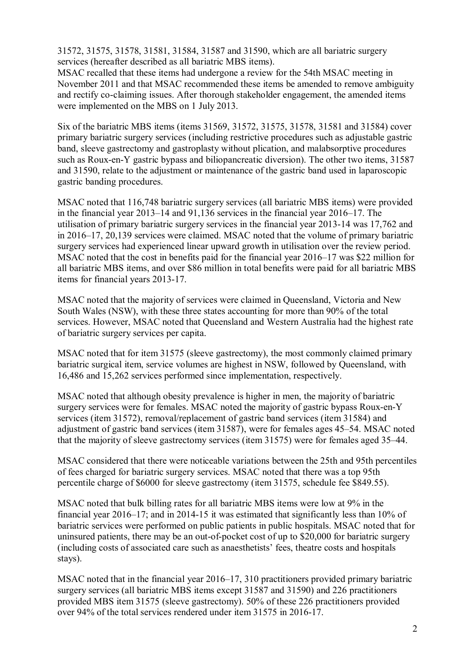31572, 31575, 31578, 31581, 31584, 31587 and 31590, which are all bariatric surgery services (hereafter described as all bariatric MBS items).

MSAC recalled that these items had undergone a review for the 54th MSAC meeting in November 2011 and that MSAC recommended these items be amended to remove ambiguity and rectify co-claiming issues. After thorough stakeholder engagement, the amended items were implemented on the MBS on 1 July 2013.

Six of the bariatric MBS items (items 31569, 31572, 31575, 31578, 31581 and 31584) cover primary bariatric surgery services (including restrictive procedures such as adjustable gastric band, sleeve gastrectomy and gastroplasty without plication, and malabsorptive procedures such as Roux-en-Y gastric bypass and biliopancreatic diversion). The other two items, 31587 and 31590, relate to the adjustment or maintenance of the gastric band used in laparoscopic gastric banding procedures.

MSAC noted that 116,748 bariatric surgery services (all bariatric MBS items) were provided in the financial year 2013–14 and 91,136 services in the financial year 2016–17. The utilisation of primary bariatric surgery services in the financial year 2013-14 was 17,762 and in 2016–17, 20,139 services were claimed. MSAC noted that the volume of primary bariatric surgery services had experienced linear upward growth in utilisation over the review period. MSAC noted that the cost in benefits paid for the financial year 2016–17 was \$22 million for all bariatric MBS items, and over \$86 million in total benefits were paid for all bariatric MBS items for financial years 2013-17.

MSAC noted that the majority of services were claimed in Queensland, Victoria and New South Wales (NSW), with these three states accounting for more than 90% of the total services. However, MSAC noted that Queensland and Western Australia had the highest rate of bariatric surgery services per capita.

MSAC noted that for item 31575 (sleeve gastrectomy), the most commonly claimed primary bariatric surgical item, service volumes are highest in NSW, followed by Queensland, with 16,486 and 15,262 services performed since implementation, respectively.

MSAC noted that although obesity prevalence is higher in men, the majority of bariatric surgery services were for females. MSAC noted the majority of gastric bypass Roux-en-Y services (item 31572), removal/replacement of gastric band services (item 31584) and adjustment of gastric band services (item 31587), were for females ages 45–54. MSAC noted that the majority of sleeve gastrectomy services (item 31575) were for females aged 35–44.

MSAC considered that there were noticeable variations between the 25th and 95th percentiles of fees charged for bariatric surgery services. MSAC noted that there was a top 95th percentile charge of \$6000 for sleeve gastrectomy (item 31575, schedule fee \$849.55).

MSAC noted that bulk billing rates for all bariatric MBS items were low at 9% in the financial year 2016–17; and in 2014-15 it was estimated that significantly less than 10% of bariatric services were performed on public patients in public hospitals. MSAC noted that for uninsured patients, there may be an out-of-pocket cost of up to \$20,000 for bariatric surgery (including costs of associated care such as anaesthetists' fees, theatre costs and hospitals stays).

MSAC noted that in the financial year 2016–17, 310 practitioners provided primary bariatric surgery services (all bariatric MBS items except 31587 and 31590) and 226 practitioners provided MBS item 31575 (sleeve gastrectomy). 50% of these 226 practitioners provided over 94% of the total services rendered under item 31575 in 2016-17.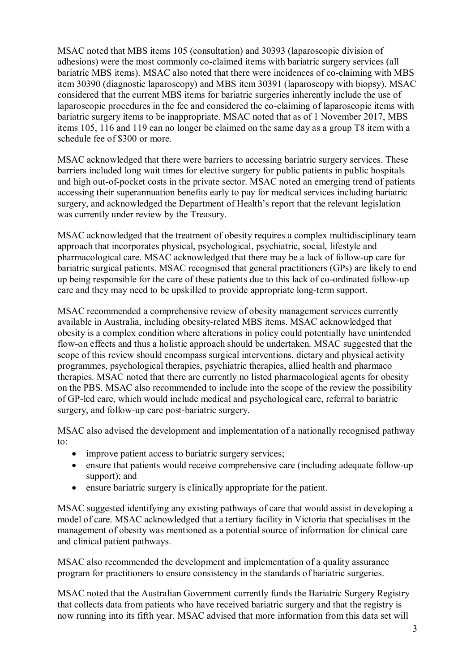MSAC noted that MBS items 105 (consultation) and 30393 (laparoscopic division of adhesions) were the most commonly co-claimed items with bariatric surgery services (all bariatric MBS items). MSAC also noted that there were incidences of co-claiming with MBS item 30390 (diagnostic laparoscopy) and MBS item 30391 (laparoscopy with biopsy). MSAC considered that the current MBS items for bariatric surgeries inherently include the use of laparoscopic procedures in the fee and considered the co-claiming of laparoscopic items with bariatric surgery items to be inappropriate. MSAC noted that as of 1 November 2017, MBS items 105, 116 and 119 can no longer be claimed on the same day as a group T8 item with a schedule fee of \$300 or more.

MSAC acknowledged that there were barriers to accessing bariatric surgery services. These barriers included long wait times for elective surgery for public patients in public hospitals and high out-of-pocket costs in the private sector. MSAC noted an emerging trend of patients accessing their superannuation benefits early to pay for medical services including bariatric surgery, and acknowledged the Department of Health's report that the relevant legislation was currently under review by the Treasury.

MSAC acknowledged that the treatment of obesity requires a complex multidisciplinary team approach that incorporates physical, psychological, psychiatric, social, lifestyle and pharmacological care. MSAC acknowledged that there may be a lack of follow-up care for bariatric surgical patients. MSAC recognised that general practitioners (GPs) are likely to end up being responsible for the care of these patients due to this lack of co-ordinated follow-up care and they may need to be upskilled to provide appropriate long-term support.

MSAC recommended a comprehensive review of obesity management services currently available in Australia, including obesity-related MBS items. MSAC acknowledged that obesity is a complex condition where alterations in policy could potentially have unintended flow-on effects and thus a holistic approach should be undertaken. MSAC suggested that the scope of this review should encompass surgical interventions, dietary and physical activity programmes, psychological therapies, psychiatric therapies, allied health and pharmaco therapies. MSAC noted that there are currently no listed pharmacological agents for obesity on the PBS. MSAC also recommended to include into the scope of the review the possibility of GP-led care, which would include medical and psychological care, referral to bariatric surgery, and follow-up care post-bariatric surgery.

MSAC also advised the development and implementation of a nationally recognised pathway to:

- improve patient access to bariatric surgery services;
- ensure that patients would receive comprehensive care (including adequate follow-up support); and
- ensure bariatric surgery is clinically appropriate for the patient.

MSAC suggested identifying any existing pathways of care that would assist in developing a model of care. MSAC acknowledged that a tertiary facility in Victoria that specialises in the management of obesity was mentioned as a potential source of information for clinical care and clinical patient pathways.

MSAC also recommended the development and implementation of a quality assurance program for practitioners to ensure consistency in the standards of bariatric surgeries.

MSAC noted that the Australian Government currently funds the Bariatric Surgery Registry that collects data from patients who have received bariatric surgery and that the registry is now running into its fifth year. MSAC advised that more information from this data set will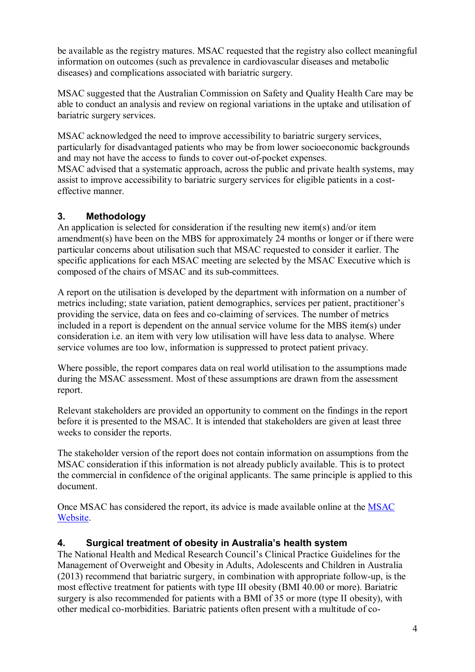be available as the registry matures. MSAC requested that the registry also collect meaningful information on outcomes (such as prevalence in cardiovascular diseases and metabolic diseases) and complications associated with bariatric surgery.

MSAC suggested that the Australian Commission on Safety and Quality Health Care may be able to conduct an analysis and review on regional variations in the uptake and utilisation of bariatric surgery services.

MSAC acknowledged the need to improve accessibility to bariatric surgery services, particularly for disadvantaged patients who may be from lower socioeconomic backgrounds and may not have the access to funds to cover out-of-pocket expenses.

MSAC advised that a systematic approach, across the public and private health systems, may assist to improve accessibility to bariatric surgery services for eligible patients in a costeffective manner.

# **3. Methodology**

An application is selected for consideration if the resulting new item(s) and/or item amendment(s) have been on the MBS for approximately 24 months or longer or if there were particular concerns about utilisation such that MSAC requested to consider it earlier. The specific applications for each MSAC meeting are selected by the MSAC Executive which is composed of the chairs of MSAC and its sub-committees.

A report on the utilisation is developed by the department with information on a number of metrics including; state variation, patient demographics, services per patient, practitioner's providing the service, data on fees and co-claiming of services. The number of metrics included in a report is dependent on the annual service volume for the MBS item(s) under consideration i.e. an item with very low utilisation will have less data to analyse. Where service volumes are too low, information is suppressed to protect patient privacy.

Where possible, the report compares data on real world utilisation to the assumptions made during the MSAC assessment. Most of these assumptions are drawn from the assessment report.

Relevant stakeholders are provided an opportunity to comment on the findings in the report before it is presented to the MSAC. It is intended that stakeholders are given at least three weeks to consider the reports.

The stakeholder version of the report does not contain information on assumptions from the MSAC consideration if this information is not already publicly available. This is to protect the commercial in confidence of the original applicants. The same principle is applied to this document.

Once MSAC has considered the report, its advice is made available online at the MSAC Website.

# **4. Surgical treatment of obesity in Australia's health system**

The National Health and Medical Research Council's Clinical Practice Guidelines for the Management of Overweight and Obesity in Adults, Adolescents and Children in Australia (2013) recommend that bariatric surgery, in combination with appropriate follow-up, is the most effective treatment for patients with type III obesity (BMI 40.00 or more). Bariatric surgery is also recommended for patients with a BMI of 35 or more (type II obesity), with other medical co-morbidities. Bariatric patients often present with a multitude of co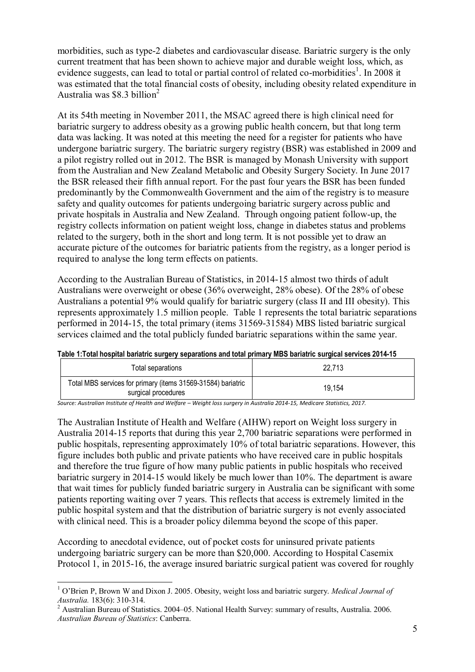morbidities, such as type-2 diabetes and cardiovascular disease. Bariatric surgery is the only current treatment that has been shown to achieve major and durable weight loss, which, as evidence suggests, can lead to total or partial control of related co-morbidities<sup>1</sup>. In 2008 it was estimated that the total financial costs of obesity, including obesity related expenditure in Australia was  $$8.3$  billion<sup>2</sup>

At its 54th meeting in November 2011, the MSAC agreed there is high clinical need for bariatric surgery to address obesity as a growing public health concern, but that long term data was lacking. It was noted at this meeting the need for a register for patients who have undergone bariatric surgery. The bariatric surgery registry (BSR) was established in 2009 and a pilot registry rolled out in 2012. The BSR is managed by Monash University with support from the Australian and New Zealand Metabolic and Obesity Surgery Society. In June 2017 the BSR released their fifth annual report. For the past four years the BSR has been funded predominantly by the Commonwealth Government and the aim of the registry is to measure safety and quality outcomes for patients undergoing bariatric surgery across public and private hospitals in Australia and New Zealand. Through ongoing patient follow-up, the registry collects information on patient weight loss, change in diabetes status and problems related to the surgery, both in the short and long term. It is not possible yet to draw an accurate picture of the outcomes for bariatric patients from the registry, as a longer period is required to analyse the long term effects on patients.

According to the Australian Bureau of Statistics, in 2014-15 almost two thirds of adult Australians were overweight or obese (36% overweight, 28% obese). Of the 28% of obese Australians a potential 9% would qualify for bariatric surgery (class II and III obesity). This represents approximately 1.5 million people. Table 1 represents the total bariatric separations performed in 2014-15, the total primary (items 31569-31584) MBS listed bariatric surgical services claimed and the total publicly funded bariatric separations within the same year.

|  | Table 1:Total hospital bariatric surgery separations and total primary MBS bariatric surgical services 2014-15 |
|--|----------------------------------------------------------------------------------------------------------------|
|  |                                                                                                                |

| Total separations                                                                   | 22.713 |
|-------------------------------------------------------------------------------------|--------|
| Total MBS services for primary (items 31569-31584) bariatric<br>surgical procedures | 19,154 |

*Source: Australian Institute of Health and Welfare – Weight loss surgery in Australia 2014-15, Medicare Statistics, 2017.*

The Australian Institute of Health and Welfare (AIHW) report on Weight loss surgery in Australia 2014-15 reports that during this year 2,700 bariatric separations were performed in public hospitals, representing approximately 10% of total bariatric separations. However, this figure includes both public and private patients who have received care in public hospitals and therefore the true figure of how many public patients in public hospitals who received bariatric surgery in 2014-15 would likely be much lower than 10%. The department is aware that wait times for publicly funded bariatric surgery in Australia can be significant with some patients reporting waiting over 7 years. This reflects that access is extremely limited in the public hospital system and that the distribution of bariatric surgery is not evenly associated with clinical need. This is a broader policy dilemma beyond the scope of this paper.

According to anecdotal evidence, out of pocket costs for uninsured private patients undergoing bariatric surgery can be more than \$20,000. According to Hospital Casemix Protocol 1, in 2015-16, the average insured bariatric surgical patient was covered for roughly

 1 O'Brien P, Brown W and Dixon J. 2005. Obesity, weight loss and bariatric surgery. *Medical Journal of* 

*Australia.* 183(6): 310-314. 2 Australian Bureau of Statistics. 2004–05. National Health Survey: summary of results, Australia. 2006. *Australian Bureau of Statistics*: Canberra.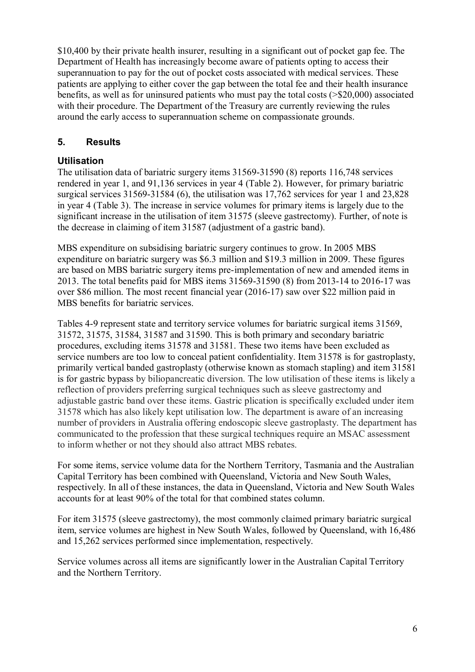\$10,400 by their private health insurer, resulting in a significant out of pocket gap fee. The Department of Health has increasingly become aware of patients opting to access their superannuation to pay for the out of pocket costs associated with medical services. These patients are applying to either cover the gap between the total fee and their health insurance benefits, as well as for uninsured patients who must pay the total costs (>\$20,000) associated with their procedure. The Department of the Treasury are currently reviewing the rules around the early access to superannuation scheme on compassionate grounds.

# **5. Results**

# **Utilisation**

The utilisation data of bariatric surgery items 31569-31590 (8) reports 116,748 services rendered in year 1, and 91,136 services in year 4 (Table 2). However, for primary bariatric surgical services 31569-31584 (6), the utilisation was 17,762 services for year 1 and 23,828 in year 4 (Table 3). The increase in service volumes for primary items is largely due to the significant increase in the utilisation of item 31575 (sleeve gastrectomy). Further, of note is the decrease in claiming of item 31587 (adjustment of a gastric band).

MBS expenditure on subsidising bariatric surgery continues to grow. In 2005 MBS expenditure on bariatric surgery was \$6.3 million and \$19.3 million in 2009. These figures are based on MBS bariatric surgery items pre-implementation of new and amended items in 2013. The total benefits paid for MBS items 31569-31590 (8) from 2013-14 to 2016-17 was over \$86 million. The most recent financial year (2016-17) saw over \$22 million paid in MBS benefits for bariatric services.

Tables 4-9 represent state and territory service volumes for bariatric surgical items 31569, 31572, 31575, 31584, 31587 and 31590. This is both primary and secondary bariatric procedures, excluding items 31578 and 31581. These two items have been excluded as service numbers are too low to conceal patient confidentiality. Item 31578 is for gastroplasty, primarily vertical banded gastroplasty (otherwise known as stomach stapling) and item 31581 is for gastric bypass by biliopancreatic diversion. The low utilisation of these items is likely a reflection of providers preferring surgical techniques such as sleeve gastrectomy and adjustable gastric band over these items. Gastric plication is specifically excluded under item 31578 which has also likely kept utilisation low. The department is aware of an increasing number of providers in Australia offering endoscopic sleeve gastroplasty. The department has communicated to the profession that these surgical techniques require an MSAC assessment to inform whether or not they should also attract MBS rebates.

For some items, service volume data for the Northern Territory, Tasmania and the Australian Capital Territory has been combined with Queensland, Victoria and New South Wales, respectively. In all of these instances, the data in Queensland, Victoria and New South Wales accounts for at least 90% of the total for that combined states column.

For item 31575 (sleeve gastrectomy), the most commonly claimed primary bariatric surgical item, service volumes are highest in New South Wales, followed by Queensland, with 16,486 and 15,262 services performed since implementation, respectively.

Service volumes across all items are significantly lower in the Australian Capital Territory and the Northern Territory.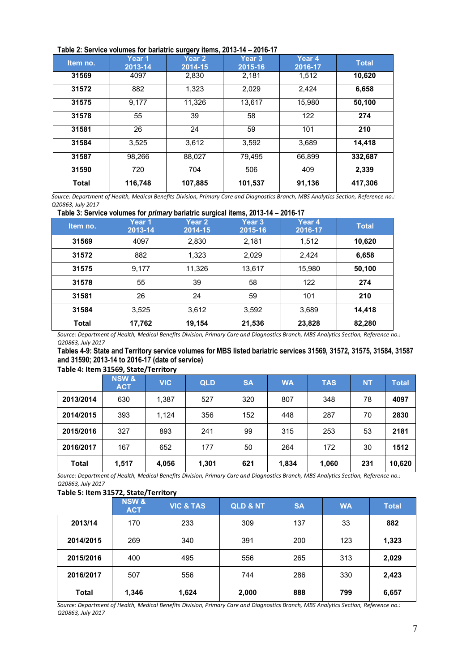| Table 2: Service volumes for bariatric surgery items, 2013-14 - 2016-17 |  |
|-------------------------------------------------------------------------|--|
|-------------------------------------------------------------------------|--|

|              |                   | J--, .------,     |                   |                   |              |
|--------------|-------------------|-------------------|-------------------|-------------------|--------------|
| Item no.     | Year 1<br>2013-14 | Year 2<br>2014-15 | Year 3<br>2015-16 | Year 4<br>2016-17 | <b>Total</b> |
| 31569        | 4097              | 2.830             | 2.181             | 1,512             | 10,620       |
| 31572        | 882               | 1.323             | 2.029             | 2,424             | 6,658        |
| 31575        | 9.177             | 11.326            | 13.617            | 15.980            | 50,100       |
| 31578        | 55                | 39                | 58                | 122               | 274          |
| 31581        | 26                | 24                | 59                | 101               | 210          |
| 31584        | 3,525             | 3.612             | 3,592             | 3,689             | 14,418       |
| 31587        | 98,266            | 88,027            | 79.495            | 66,899            | 332,687      |
| 31590        | 720               | 704               | 506               | 409               | 2,339        |
| <b>Total</b> | 116,748           | 107,885           | 101,537           | 91,136            | 417.306      |

*Source: Department of Health, Medical Benefits Division, Primary Care and Diagnostics Branch, MBS Analytics Section, Reference no.: Q20863, July 2017* 

| Table 3: Service volumes for <i>primary</i> bariatric surgical items, 2013-14 - 2016-17 |  |  |
|-----------------------------------------------------------------------------------------|--|--|
|                                                                                         |  |  |

| Item no. | Year 1<br>2013-14 | Year 2<br>2014-15 | Year <sub>3</sub><br>2015-16 | Year 4<br>2016-17 | <b>Total</b> |
|----------|-------------------|-------------------|------------------------------|-------------------|--------------|
| 31569    | 4097              | 2,830             | 2,181                        | 1,512             | 10,620       |
| 31572    | 882               | 1,323             | 2,029                        | 2,424             | 6,658        |
| 31575    | 9,177             | 11,326            | 13,617                       | 15,980            | 50,100       |
| 31578    | 55                | 39                | 58                           | 122               | 274          |
| 31581    | 26                | 24                | 59                           | 101               | 210          |
| 31584    | 3,525             | 3,612             | 3,592                        | 3,689             | 14,418       |
| Total    | 17,762            | 19,154            | 21,536                       | 23,828            | 82,280       |

*Source: Department of Health, Medical Benefits Division, Primary Care and Diagnostics Branch, MBS Analytics Section, Reference no.: Q20863, July 2017* 

**Tables 4-9: State and Territory service volumes for MBS listed bariatric services 31569, 31572, 31575, 31584, 31587 and 31590; 2013-14 to 2016-17 (date of service)** 

#### **Table 4: Item 31569, State/Territory**

|              | <b>NSW &amp;</b><br><b>ACT</b> | <b>VIC</b> | <b>QLD</b> | <b>SA</b> | <b>WA</b> | <b>TAS</b> | <b>NT</b> | <b>Total</b> |
|--------------|--------------------------------|------------|------------|-----------|-----------|------------|-----------|--------------|
| 2013/2014    | 630                            | 1,387      | 527        | 320       | 807       | 348        | 78        | 4097         |
| 2014/2015    | 393                            | 1.124      | 356        | 152       | 448       | 287        | 70        | 2830         |
| 2015/2016    | 327                            | 893        | 241        | 99        | 315       | 253        | 53        | 2181         |
| 2016/2017    | 167                            | 652        | 177        | 50        | 264       | 172        | 30        | 1512         |
| <b>Total</b> | 1.517                          | 4,056      | 1.301      | 621       | 1,834     | 1,060      | 231       | 10,620       |

*Source: Department of Health, Medical Benefits Division, Primary Care and Diagnostics Branch, MBS Analytics Section, Reference no.: Q20863, July 2017* 

#### **Table 5: Item 31572, State/Territory**

|           | <b>NSW&amp;</b><br><b>ACT</b> | <b>VIC &amp; TAS</b> | <b>QLD &amp; NT</b> | <b>SA</b> | <b>WA</b> | <b>Total</b> |
|-----------|-------------------------------|----------------------|---------------------|-----------|-----------|--------------|
| 2013/14   | 170                           | 233                  | 309                 | 137       | 33        | 882          |
| 2014/2015 | 269                           | 340                  | 391                 | 200       | 123       | 1,323        |
| 2015/2016 | 400                           | 495                  | 556                 | 265       | 313       | 2,029        |
| 2016/2017 | 507                           | 556                  | 744                 | 286       | 330       | 2,423        |
| Total     | 1,346                         | 1,624                | 2,000               | 888       | 799       | 6,657        |

*Source: Department of Health, Medical Benefits Division, Primary Care and Diagnostics Branch, MBS Analytics Section, Reference no.: Q20863, July 2017*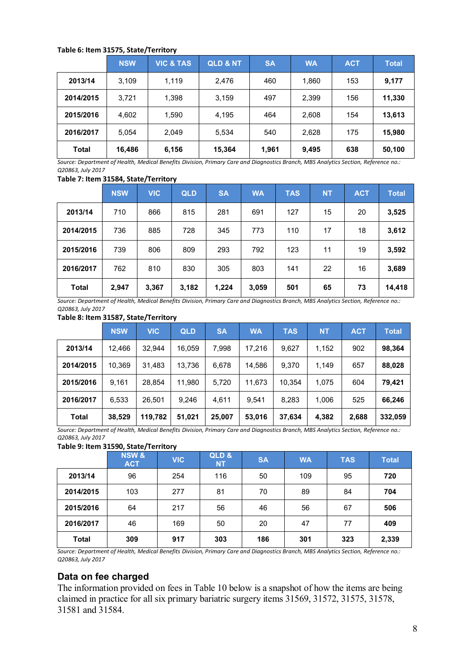### **Table 6: Item 31575, State/Territory**

|              | <b>NSW</b> | <b>VIC &amp; TAS</b> | <b>QLD &amp; NT</b> | <b>SA</b> | <b>WA</b> | <b>ACT</b> | <b>Total</b> |
|--------------|------------|----------------------|---------------------|-----------|-----------|------------|--------------|
| 2013/14      | 3,109      | 1.119                | 2,476               | 460       | 1,860     | 153        | 9,177        |
| 2014/2015    | 3,721      | 1,398                | 3,159               | 497       | 2,399     | 156        | 11,330       |
| 2015/2016    | 4,602      | 1,590                | 4,195               | 464       | 2,608     | 154        | 13,613       |
| 2016/2017    | 5,054      | 2,049                | 5,534               | 540       | 2,628     | 175        | 15,980       |
| <b>Total</b> | 16,486     | 6,156                | 15,364              | 1,961     | 9,495     | 638        | 50,100       |

*Source: Department of Health, Medical Benefits Division, Primary Care and Diagnostics Branch, MBS Analytics Section, Reference no.: Q20863, July 2017* 

#### **Table 7: Item 31584, State/Territory**

|              | <b>NSW</b> | <b>VIC</b> | <b>QLD</b> | <b>SA</b> | <b>WA</b> | <b>TAS</b> | <b>NT</b> | <b>ACT</b> | <b>Total</b> |
|--------------|------------|------------|------------|-----------|-----------|------------|-----------|------------|--------------|
| 2013/14      | 710        | 866        | 815        | 281       | 691       | 127        | 15        | 20         | 3,525        |
| 2014/2015    | 736        | 885        | 728        | 345       | 773       | 110        | 17        | 18         | 3,612        |
| 2015/2016    | 739        | 806        | 809        | 293       | 792       | 123        | 11        | 19         | 3,592        |
| 2016/2017    | 762        | 810        | 830        | 305       | 803       | 141        | 22        | 16         | 3,689        |
| <b>Total</b> | 2,947      | 3,367      | 3,182      | 1,224     | 3,059     | 501        | 65        | 73         | 14,418       |

*Source: Department of Health, Medical Benefits Division, Primary Care and Diagnostics Branch, MBS Analytics Section, Reference no.: Q20863, July 2017* 

#### **Table 8: Item 31587, State/Territory**

|              | <b>NSW</b> | <b>VIC</b> | <b>QLD</b> | <b>SA</b> | <b>WA</b> | <b>TAS</b> | <b>NT</b> | <b>ACT</b> | <b>Total</b> |
|--------------|------------|------------|------------|-----------|-----------|------------|-----------|------------|--------------|
| 2013/14      | 12.466     | 32.944     | 16,059     | 7,998     | 17.216    | 9,627      | 1,152     | 902        | 98,364       |
| 2014/2015    | 10,369     | 31,483     | 13,736     | 6,678     | 14,586    | 9,370      | 1,149     | 657        | 88,028       |
| 2015/2016    | 9.161      | 28.854     | 11,980     | 5.720     | 11.673    | 10.354     | 1.075     | 604        | 79.421       |
| 2016/2017    | 6,533      | 26,501     | 9,246      | 4.611     | 9,541     | 8,283      | 1,006     | 525        | 66,246       |
| <b>Total</b> | 38,529     | 119,782    | 51,021     | 25,007    | 53,016    | 37,634     | 4,382     | 2,688      | 332,059      |

*Source: Department of Health, Medical Benefits Division, Primary Care and Diagnostics Branch, MBS Analytics Section, Reference no.: Q20863, July 2017* 

#### **Table 9: Item 31590, State/Territory**

|              | <b>NSW &amp;</b><br><b>ACT</b> | <b>VIC</b> | QLD&<br><b>NT</b> | <b>SA</b> | <b>WA</b> | <b>TAS</b> | <b>Total</b> |
|--------------|--------------------------------|------------|-------------------|-----------|-----------|------------|--------------|
| 2013/14      | 96                             | 254        | 116               | 50        | 109       | 95         | 720          |
| 2014/2015    | 103                            | 277        | 81                | 70        | 89        | 84         | 704          |
| 2015/2016    | 64                             | 217        | 56                | 46        | 56        | 67         | 506          |
| 2016/2017    | 46                             | 169        | 50                | 20        | 47        | 77         | 409          |
| <b>Total</b> | 309                            | 917        | 303               | 186       | 301       | 323        | 2,339        |

*Source: Department of Health, Medical Benefits Division, Primary Care and Diagnostics Branch, MBS Analytics Section, Reference no.: Q20863, July 2017* 

### **Data on fee charged**

The information provided on fees in Table 10 below is a snapshot of how the items are being claimed in practice for all six primary bariatric surgery items 31569, 31572, 31575, 31578, 31581 and 31584.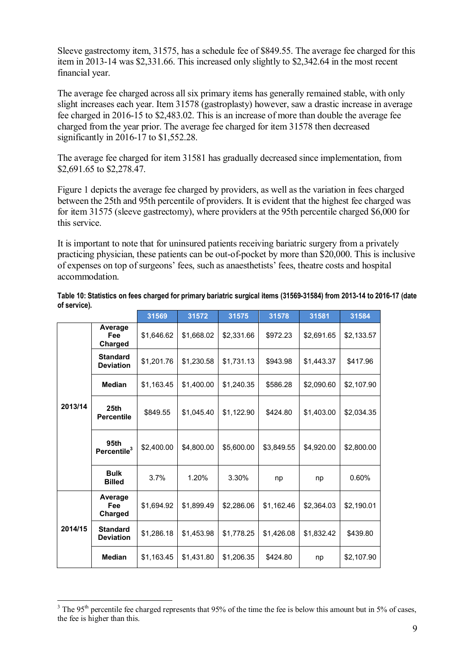Sleeve gastrectomy item, 31575, has a schedule fee of \$849.55. The average fee charged for this item in 2013-14 was \$2,331.66. This increased only slightly to \$2,342.64 in the most recent financial year.

The average fee charged across all six primary items has generally remained stable, with only slight increases each year. Item 31578 (gastroplasty) however, saw a drastic increase in average fee charged in 2016-15 to \$2,483.02. This is an increase of more than double the average fee charged from the year prior. The average fee charged for item 31578 then decreased significantly in 2016-17 to \$1,552.28.

The average fee charged for item 31581 has gradually decreased since implementation, from \$2,691.65 to \$2,278.47.

Figure 1 depicts the average fee charged by providers, as well as the variation in fees charged between the 25th and 95th percentile of providers. It is evident that the highest fee charged was for item 31575 (sleeve gastrectomy), where providers at the 95th percentile charged \$6,000 for this service.

It is important to note that for uninsured patients receiving bariatric surgery from a privately practicing physician, these patients can be out-of-pocket by more than \$20,000. This is inclusive of expenses on top of surgeons' fees, such as anaesthetists' fees, theatre costs and hospital accommodation.

|         |                                       | 31569      | 31572      | 31575      | 31578      | 31581      | 31584      |
|---------|---------------------------------------|------------|------------|------------|------------|------------|------------|
| 2013/14 | Average<br>Fee<br>Charged             | \$1,646.62 | \$1,668.02 | \$2,331.66 | \$972.23   | \$2,691.65 | \$2,133.57 |
|         | <b>Standard</b><br><b>Deviation</b>   | \$1,201.76 | \$1,230.58 | \$1,731.13 | \$943.98   | \$1,443.37 | \$417.96   |
|         | <b>Median</b>                         | \$1,163.45 | \$1,400.00 | \$1,240.35 | \$586.28   | \$2,090.60 | \$2,107.90 |
|         | 25 <sub>th</sub><br><b>Percentile</b> | \$849.55   | \$1,045.40 | \$1,122.90 | \$424.80   | \$1,403.00 | \$2,034.35 |
|         | 95th<br>Percentile <sup>3</sup>       | \$2,400.00 | \$4.800.00 | \$5,600.00 | \$3,849.55 | \$4,920.00 | \$2,800.00 |
|         | <b>Bulk</b><br><b>Billed</b>          | 3.7%       | 1.20%      | 3.30%      | np         | np         | 0.60%      |
| 2014/15 | Average<br>Fee<br>Charged             | \$1,694.92 | \$1,899.49 | \$2,286.06 | \$1,162.46 | \$2,364.03 | \$2,190.01 |
|         | <b>Standard</b><br><b>Deviation</b>   | \$1,286.18 | \$1,453.98 | \$1,778.25 | \$1,426.08 | \$1,832.42 | \$439.80   |
|         | <b>Median</b>                         | \$1,163.45 | \$1,431.80 | \$1,206.35 | \$424.80   | np         | \$2,107.90 |

**Table 10: Statistics on fees charged for primary bariatric surgical items (31569-31584) from 2013-14 to 2016-17 (date of service).** 

 $\frac{3}{10}$  The 95<sup>th</sup> percentile fee charged represents that 95% of the time the fee is below this amount but in 5% of cases, the fee is higher than this.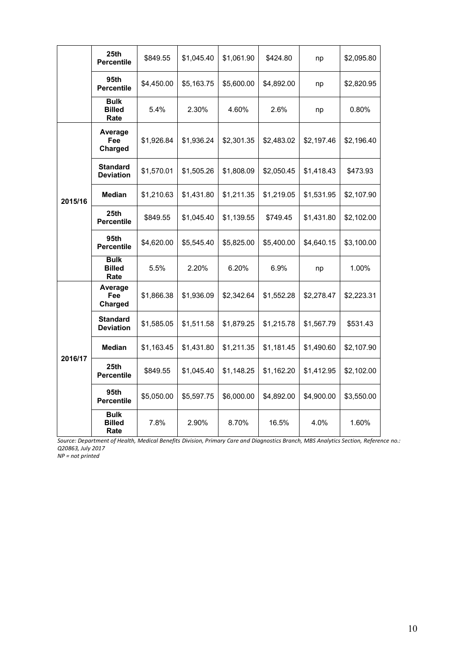|         | 25th<br>\$849.55<br><b>Percentile</b> |            | \$1,045.40 | \$1,061.90 | \$424.80   | np         | \$2,095.80 |
|---------|---------------------------------------|------------|------------|------------|------------|------------|------------|
|         | 95th<br><b>Percentile</b>             | \$4,450.00 | \$5,163.75 | \$5,600.00 | \$4,892.00 | np         | \$2,820.95 |
|         | <b>Bulk</b><br><b>Billed</b><br>Rate  | 5.4%       | 2.30%      | 4.60%      | 2.6%       | np         | 0.80%      |
|         | Average<br>Fee<br>Charged             | \$1,926.84 | \$1,936.24 | \$2,301.35 | \$2,483.02 | \$2,197.46 | \$2,196.40 |
| 2015/16 | <b>Standard</b><br><b>Deviation</b>   | \$1,570.01 | \$1,505.26 | \$1,808.09 | \$2,050.45 | \$1,418.43 | \$473.93   |
|         | Median                                | \$1,210.63 | \$1,431.80 | \$1,211.35 | \$1,219.05 | \$1,531.95 | \$2,107.90 |
|         | 25 <sub>th</sub><br><b>Percentile</b> | \$849.55   | \$1,045.40 | \$1,139.55 | \$749.45   | \$1,431.80 | \$2,102.00 |
|         | 95th<br><b>Percentile</b>             | \$4,620.00 | \$5,545.40 | \$5,825.00 | \$5,400.00 | \$4,640.15 | \$3,100.00 |
|         | <b>Bulk</b><br><b>Billed</b><br>Rate  | 5.5%       | 2.20%      | 6.20%      | 6.9%       | np         | 1.00%      |
|         | Average<br>Fee<br>Charged             | \$1,866.38 | \$1,936.09 | \$2,342.64 | \$1,552.28 | \$2,278.47 | \$2,223.31 |
|         | <b>Standard</b><br><b>Deviation</b>   | \$1,585.05 | \$1,511.58 | \$1,879.25 | \$1,215.78 | \$1,567.79 | \$531.43   |
|         | Median                                | \$1,163.45 | \$1,431.80 | \$1,211.35 | \$1,181.45 | \$1,490.60 | \$2,107.90 |
| 2016/17 | 25 <sub>th</sub><br><b>Percentile</b> | \$849.55   | \$1,045.40 | \$1,148.25 | \$1,162.20 | \$1,412.95 | \$2,102.00 |
|         | 95th<br><b>Percentile</b>             | \$5,050.00 | \$5,597.75 | \$6,000.00 | \$4,892.00 | \$4,900.00 | \$3,550.00 |
|         | <b>Bulk</b><br><b>Billed</b><br>Rate  | 7.8%       | 2.90%      | 8.70%      | 16.5%      | 4.0%       | 1.60%      |

*Source: Department of Health, Medical Benefits Division, Primary Care and Diagnostics Branch, MBS Analytics Section, Reference no.: Q20863, July 2017* 

*NP = not printed*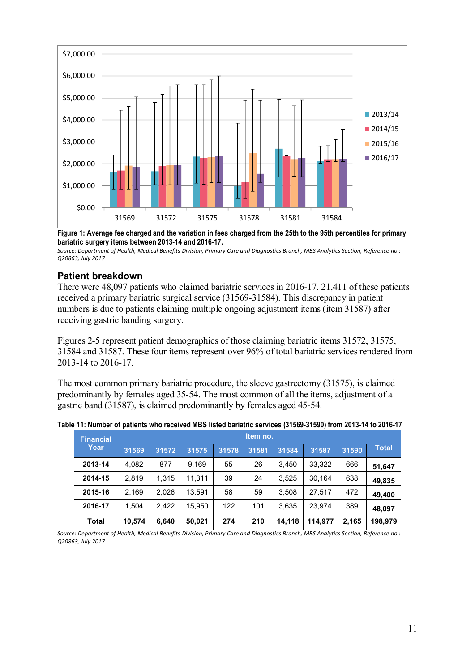

**Figure 1: Average fee charged and the variation in fees charged from the 25th to the 95th percentiles for primary bariatric surgery items between 2013-14 and 2016-17.** 

*Source: Department of Health, Medical Benefits Division, Primary Care and Diagnostics Branch, MBS Analytics Section, Reference no.: Q20863, July 2017* 

### **Patient breakdown**

There were 48,097 patients who claimed bariatric services in 2016-17. 21,411 of these patients received a primary bariatric surgical service (31569-31584). This discrepancy in patient numbers is due to patients claiming multiple ongoing adjustment items (item 31587) after receiving gastric banding surgery.

Figures 2-5 represent patient demographics of those claiming bariatric items 31572, 31575, 31584 and 31587. These four items represent over 96% of total bariatric services rendered from 2013-14 to 2016-17.

The most common primary bariatric procedure, the sleeve gastrectomy (31575), is claimed predominantly by females aged 35-54. The most common of all the items, adjustment of a gastric band (31587), is claimed predominantly by females aged 45-54.

| <b>Financial</b> | Item no. |       |        |       |       |        |         |       |              |
|------------------|----------|-------|--------|-------|-------|--------|---------|-------|--------------|
| Year             | 31569    | 31572 | 31575  | 31578 | 31581 | 31584  | 31587   | 31590 | <b>Total</b> |
| 2013-14          | 4,082    | 877   | 9,169  | 55    | 26    | 3,450  | 33,322  | 666   | 51,647       |
| 2014-15          | 2.819    | 1.315 | 11.311 | 39    | 24    | 3,525  | 30.164  | 638   | 49,835       |
| 2015-16          | 2,169    | 2.026 | 13.591 | 58    | 59    | 3,508  | 27.517  | 472   | 49,400       |
| 2016-17          | 1.504    | 2.422 | 15.950 | 122   | 101   | 3,635  | 23.974  | 389   | 48,097       |
| <b>Total</b>     | 10,574   | 6,640 | 50,021 | 274   | 210   | 14,118 | 114.977 | 2,165 | 198,979      |

*Source: Department of Health, Medical Benefits Division, Primary Care and Diagnostics Branch, MBS Analytics Section, Reference no.: Q20863, July 2017*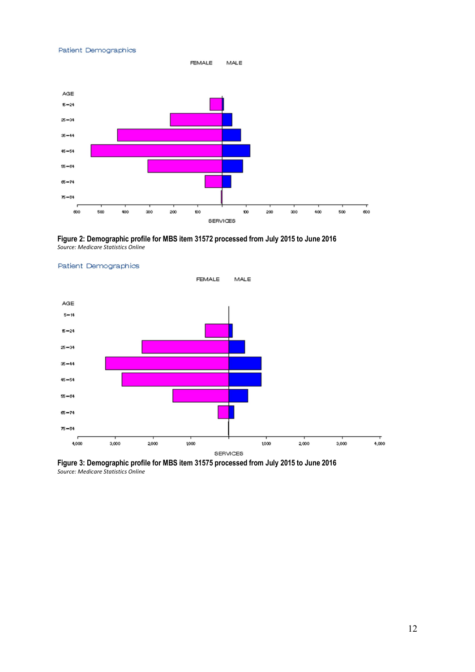#### Patient Demographics



**Figure 2: Demographic profile for MBS item 31572 processed from July 2015 to June 2016**  *Source: Medicare Statistics Online* 



#### Patient Demographics

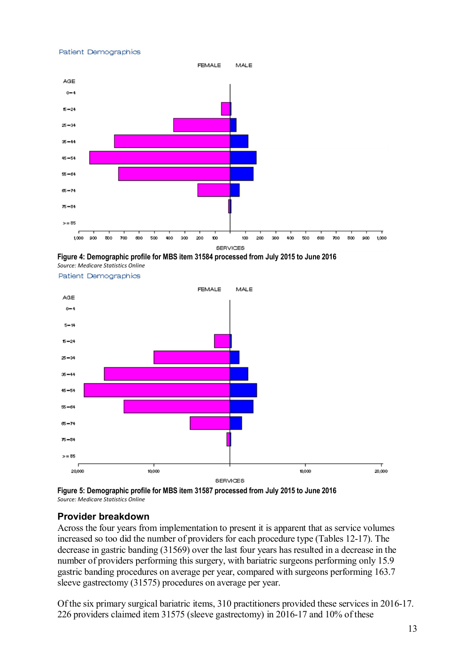#### Patient Demographics







Patient Demographics

**Figure 5: Demographic profile for MBS item 31587 processed from July 2015 to June 2016**  *Source: Medicare Statistics Online* 

### **Provider breakdown**

Across the four years from implementation to present it is apparent that as service volumes increased so too did the number of providers for each procedure type (Tables 12-17). The decrease in gastric banding (31569) over the last four years has resulted in a decrease in the number of providers performing this surgery, with bariatric surgeons performing only 15.9 gastric banding procedures on average per year, compared with surgeons performing 163.7 sleeve gastrectomy (31575) procedures on average per year.

Of the six primary surgical bariatric items, 310 practitioners provided these services in 2016-17. 226 providers claimed item 31575 (sleeve gastrectomy) in 2016-17 and 10% of these

20,000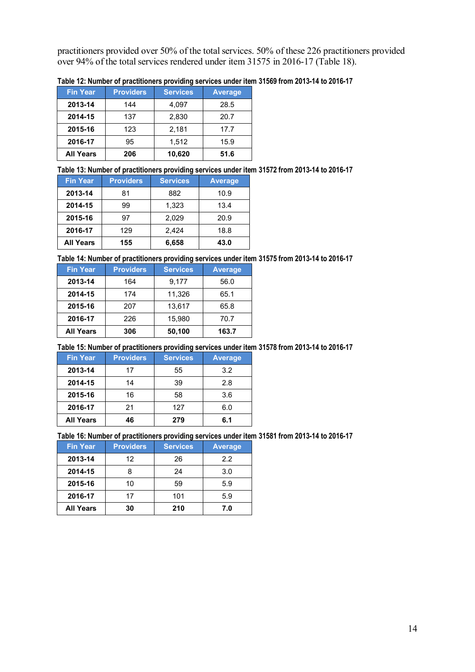practitioners provided over 50% of the total services. 50% of these 226 practitioners provided over 94% of the total services rendered under item 31575 in 2016-17 (Table 18).

| <b>Fin Year</b>  | <b>Providers</b> | <b>Services</b> | <b>Average</b> |
|------------------|------------------|-----------------|----------------|
| 2013-14          | 144              | 4,097           | 28.5           |
| 2014-15          | 137              | 2,830           | 20.7           |
| 2015-16          | 123              | 2,181           | 17.7           |
| 2016-17          | 95               | 1,512           | 15.9           |
| <b>All Years</b> | 206              | 10,620          | 51.6           |

**Table 12: Number of practitioners providing services under item 31569 from 2013-14 to 2016-17** 

#### **Table 13: Number of practitioners providing services under item 31572 from 2013-14 to 2016-17**

| <b>Fin Year</b>  | <b>Providers</b> | <b>Services</b> | <b>Average</b> |
|------------------|------------------|-----------------|----------------|
| 2013-14          | 81               | 882             | 10.9           |
| 2014-15          | 99               | 1,323           | 13.4           |
| 2015-16          | 97               | 2.029           | 20.9           |
| 2016-17          | 129              | 2.424           | 18.8           |
| <b>All Years</b> | 155              | 6,658           | 43.0           |

### **Table 14: Number of practitioners providing services under item 31575 from 2013-14 to 2016-17**

| <b>Fin Year</b>  | <b>Providers</b> | <b>Services</b> | <b>Average</b> |
|------------------|------------------|-----------------|----------------|
| 2013-14          | 164              | 9,177           | 56.0           |
| 2014-15          | 174              | 11,326          | 65.1           |
| 2015-16          | 207              | 13,617          | 65.8           |
| 2016-17          | 226              | 15,980          | 70.7           |
| <b>All Years</b> | 306              | 50,100          | 163.7          |

### **Table 15: Number of practitioners providing services under item 31578 from 2013-14 to 2016-17**

| <b>Fin Year</b>  | <b>Providers</b> | <b>Services</b> | <b>Average</b> |
|------------------|------------------|-----------------|----------------|
| 2013-14          | 17               | 55              | 3.2            |
| 2014-15          | 14               | 39              | 2.8            |
| 2015-16          | 16               | 58              | 3.6            |
| 2016-17          | 21               | 127             | 6.0            |
| <b>All Years</b> | 46               | 279             | 6.1            |

#### **Table 16: Number of practitioners providing services under item 31581 from 2013-14 to 2016-17**

| <b>Fin Year</b>  | <b>Providers</b> | <b>Services</b> | <b>Average</b> |
|------------------|------------------|-----------------|----------------|
| 2013-14          | 12               | 26              | 2.2            |
| 2014-15          |                  | 24              | 3.0            |
| 2015-16          | 10               | 59              | 5.9            |
| 2016-17          | 17               | 101             | 5.9            |
| <b>All Years</b> | 30               | 210             | 7.0            |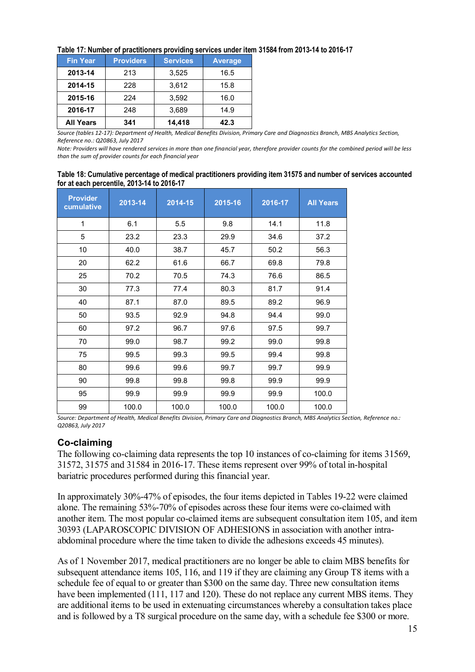| Table 17: Number of practitioners providing services under item 31584 from 2013-14 to 2016-17 |  |  |  |  |  |  |
|-----------------------------------------------------------------------------------------------|--|--|--|--|--|--|
|-----------------------------------------------------------------------------------------------|--|--|--|--|--|--|

| <b>Fin Year</b>  | <b>Providers</b> | <b>Services</b> | <b>Average</b> |
|------------------|------------------|-----------------|----------------|
| 2013-14          | 213              | 3,525           | 16.5           |
| 2014-15          | 228              | 3,612           | 15.8           |
| 2015-16          | 224              | 3,592           | 16.0           |
| 2016-17          | 248              | 3,689           | 14.9           |
| <b>All Years</b> | 341              | 14,418          | 42.3           |

*Source (tables 12-17): Department of Health, Medical Benefits Division, Primary Care and Diagnostics Branch, MBS Analytics Section, Reference no.: Q20863, July 2017* 

*Note: Providers will have rendered services in more than one financial year, therefore provider counts for the combined period will be less than the sum of provider counts for each financial year* 

| Table 18: Cumulative percentage of medical practitioners providing item 31575 and number of services accounted |  |
|----------------------------------------------------------------------------------------------------------------|--|
| for at each percentile, 2013-14 to 2016-17                                                                     |  |

| <b>Provider</b><br>cumulative | 2013-14 | 2014-15 | 2015-16 | 2016-17 | <b>All Years</b> |
|-------------------------------|---------|---------|---------|---------|------------------|
| 1                             | 6.1     | 5.5     | 9.8     | 14.1    | 11.8             |
| 5                             | 23.2    | 23.3    | 29.9    | 34.6    | 37.2             |
| 10                            | 40.0    | 38.7    | 45.7    | 50.2    | 56.3             |
| 20                            | 62.2    | 61.6    | 66.7    | 69.8    | 79.8             |
| 25                            | 70.2    | 70.5    | 74.3    | 76.6    | 86.5             |
| 30                            | 77.3    | 77.4    | 80.3    | 81.7    | 91.4             |
| 40                            | 87.1    | 87.0    | 89.5    | 89.2    | 96.9             |
| 50                            | 93.5    | 92.9    | 94.8    | 94.4    | 99.0             |
| 60                            | 97.2    | 96.7    | 97.6    | 97.5    | 99.7             |
| 70                            | 99.0    | 98.7    | 99.2    | 99.0    | 99.8             |
| 75                            | 99.5    | 99.3    | 99.5    | 99.4    | 99.8             |
| 80                            | 99.6    | 99.6    | 99.7    | 99.7    | 99.9             |
| 90                            | 99.8    | 99.8    | 99.8    | 99.9    | 99.9             |
| 95                            | 99.9    | 99.9    | 99.9    | 99.9    | 100.0            |
| 99                            | 100.0   | 100.0   | 100.0   | 100.0   | 100.0            |

*Source: Department of Health, Medical Benefits Division, Primary Care and Diagnostics Branch, MBS Analytics Section, Reference no.: Q20863, July 2017* 

# **Co-claiming**

The following co-claiming data represents the top 10 instances of co-claiming for items 31569, 31572, 31575 and 31584 in 2016-17. These items represent over 99% of total in-hospital bariatric procedures performed during this financial year.

In approximately 30%-47% of episodes, the four items depicted in Tables 19-22 were claimed alone. The remaining 53%-70% of episodes across these four items were co-claimed with another item. The most popular co-claimed items are subsequent consultation item 105, and item 30393 (LAPAROSCOPIC DIVISION OF ADHESIONS in association with another intraabdominal procedure where the time taken to divide the adhesions exceeds 45 minutes).

As of 1 November 2017, medical practitioners are no longer be able to claim MBS benefits for subsequent attendance items 105, 116, and 119 if they are claiming any Group T8 items with a schedule fee of equal to or greater than \$300 on the same day. Three new consultation items have been implemented (111, 117 and 120). These do not replace any current MBS items. They are additional items to be used in extenuating circumstances whereby a consultation takes place and is followed by a T8 surgical procedure on the same day, with a schedule fee \$300 or more.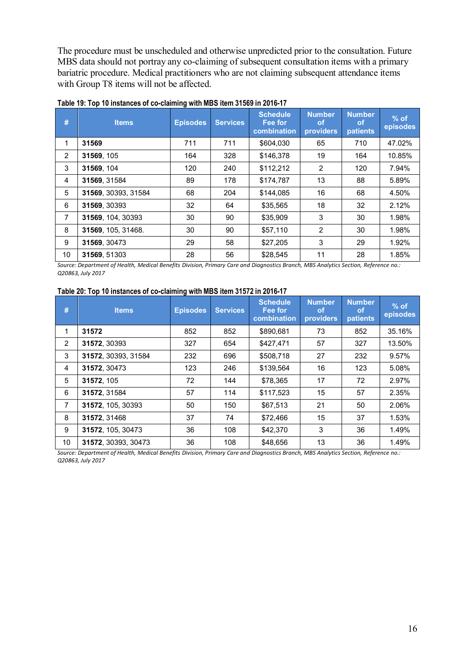The procedure must be unscheduled and otherwise unpredicted prior to the consultation. Future MBS data should not portray any co-claiming of subsequent consultation items with a primary bariatric procedure. Medical practitioners who are not claiming subsequent attendance items with Group T8 items will not be affected.

| #              | <b>Items</b>        | <b>Episodes</b> | <b>Services</b> | <b>Schedule</b><br>Fee for<br>combination | <b>Number</b><br><b>of</b><br>providers | <b>Number</b><br><b>of</b><br>patients | $%$ of<br>episodes |
|----------------|---------------------|-----------------|-----------------|-------------------------------------------|-----------------------------------------|----------------------------------------|--------------------|
| 1              | 31569               | 711             | 711             | \$604.030                                 | 65                                      | 710                                    | 47.02%             |
| 2              | 31569, 105          | 164             | 328             | \$146.378                                 | 19                                      | 164                                    | 10.85%             |
| 3              | 31569, 104          | 120             | 240             | \$112,212                                 | 2                                       | 120                                    | 7.94%              |
| 4              | 31569, 31584        | 89              | 178             | \$174,787                                 | 13                                      | 88                                     | 5.89%              |
| 5              | 31569, 30393, 31584 | 68              | 204             | \$144,085                                 | 16                                      | 68                                     | 4.50%              |
| 6              | 31569, 30393        | 32              | 64              | \$35,565                                  | 18                                      | 32                                     | 2.12%              |
| $\overline{7}$ | 31569, 104, 30393   | 30              | 90              | \$35,909                                  | 3                                       | 30                                     | 1.98%              |
| 8              | 31569, 105, 31468.  | 30              | 90              | \$57,110                                  | 2                                       | 30                                     | 1.98%              |
| 9              | 31569, 30473        | 29              | 58              | \$27,205                                  | 3                                       | 29                                     | 1.92%              |
| 10             | 31569, 51303        | 28              | 56              | \$28.545                                  | 11                                      | 28                                     | 1.85%              |

### **Table 19: Top 10 instances of co-claiming with MBS item 31569 in 2016-17**

*Source: Department of Health, Medical Benefits Division, Primary Care and Diagnostics Branch, MBS Analytics Section, Reference no.: Q20863, July 2017* 

#### **Table 20: Top 10 instances of co-claiming with MBS item 31572 in 2016-17**

| #              | <b>Items</b>        | <b>Episodes</b> | <b>Services</b> | <b>Schedule</b><br>Fee for<br>combination | <b>Number</b><br><b>of</b><br>providers | <b>Number</b><br><b>of</b><br><b>patients</b> | $%$ of<br>episodes |
|----------------|---------------------|-----------------|-----------------|-------------------------------------------|-----------------------------------------|-----------------------------------------------|--------------------|
| 1              | 31572               | 852             | 852             | \$890,681                                 | 73                                      | 852                                           | 35.16%             |
| 2              | 31572, 30393        | 327             | 654             | \$427,471                                 | 57                                      | 327                                           | 13.50%             |
| 3              | 31572, 30393, 31584 | 232             | 696             | \$508,718                                 | 27                                      | 232                                           | 9.57%              |
| 4              | 31572, 30473        | 123             | 246             | \$139,564                                 | 16                                      | 123                                           | 5.08%              |
| 5              | 31572.105           | 72              | 144             | \$78,365                                  | 17                                      | 72                                            | 2.97%              |
| 6              | 31572.31584         | 57              | 114             | \$117.523                                 | 15                                      | 57                                            | 2.35%              |
| $\overline{7}$ | 31572, 105, 30393   | 50              | 150             | \$67,513                                  | 21                                      | 50                                            | 2.06%              |
| 8              | 31572.31468         | 37              | 74              | \$72,466                                  | 15                                      | 37                                            | 1.53%              |
| 9              | 31572, 105, 30473   | 36              | 108             | \$42,370                                  | 3                                       | 36                                            | 1.49%              |
| 10             | 31572. 30393. 30473 | 36              | 108             | \$48,656                                  | 13                                      | 36                                            | 1.49%              |

*Source: Department of Health, Medical Benefits Division, Primary Care and Diagnostics Branch, MBS Analytics Section, Reference no.: Q20863, July 2017*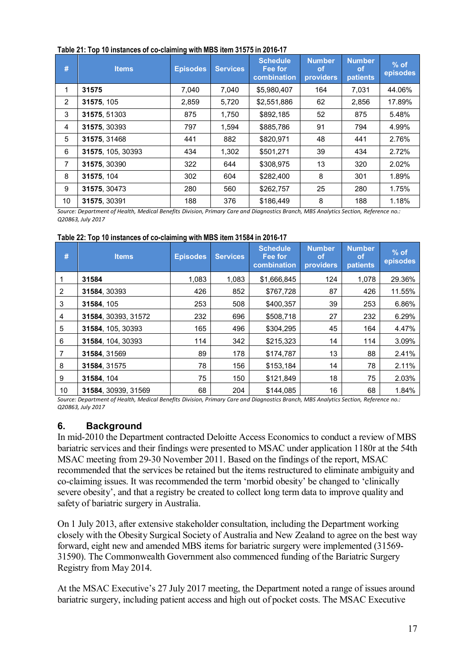| #              | <b>Items</b>      | <b>Episodes</b> | <b>Services</b> | <b>Schedule</b><br>Fee for<br>combination | <b>Number</b><br><b>of</b><br>providers | <b>Number</b><br><b>of</b><br>patients | $%$ of<br>episodes |
|----------------|-------------------|-----------------|-----------------|-------------------------------------------|-----------------------------------------|----------------------------------------|--------------------|
| 1              | 31575             | 7,040           | 7.040           | \$5,980,407                               | 164                                     | 7.031                                  | 44.06%             |
| $\overline{2}$ | 31575, 105        | 2,859           | 5,720           | \$2,551,886                               | 62                                      | 2,856                                  | 17.89%             |
| 3              | 31575, 51303      | 875             | 1,750           | \$892,185                                 | 52                                      | 875                                    | 5.48%              |
| 4              | 31575, 30393      | 797             | 1,594           | \$885.786                                 | 91                                      | 794                                    | 4.99%              |
| 5              | 31575, 31468      | 441             | 882             | \$820.971                                 | 48                                      | 441                                    | 2.76%              |
| 6              | 31575, 105, 30393 | 434             | 1,302           | \$501.271                                 | 39                                      | 434                                    | 2.72%              |
| $\overline{7}$ | 31575, 30390      | 322             | 644             | \$308.975                                 | 13                                      | 320                                    | 2.02%              |
| 8              | 31575, 104        | 302             | 604             | \$282,400                                 | 8                                       | 301                                    | 1.89%              |
| 9              | 31575, 30473      | 280             | 560             | \$262,757                                 | 25                                      | 280                                    | 1.75%              |
| 10             | 31575, 30391      | 188             | 376             | \$186.449                                 | 8                                       | 188                                    | 1.18%              |

### **Table 21: Top 10 instances of co-claiming with MBS item 31575 in 2016-17**

*Source: Department of Health, Medical Benefits Division, Primary Care and Diagnostics Branch, MBS Analytics Section, Reference no.: Q20863, July 2017* 

|  |  | Table 22: Top 10 instances of co-claiming with MBS item 31584 in 2016-17 |
|--|--|--------------------------------------------------------------------------|
|  |  |                                                                          |

| #  | <b>Items</b>        | <b>Episodes</b> | <b>Services</b> | <b>Schedule</b><br>Fee for<br>combination | <b>Number</b><br>οf<br>providers | <b>Number</b><br><b>of</b><br><b>patients</b> | $%$ of<br>episodes |
|----|---------------------|-----------------|-----------------|-------------------------------------------|----------------------------------|-----------------------------------------------|--------------------|
| 1  | 31584               | 1.083           | 1.083           | \$1.666.845                               | 124                              | 1,078                                         | 29.36%             |
| 2  | 31584, 30393        | 426             | 852             | \$767,728                                 | 87                               | 426                                           | 11.55%             |
| 3  | 31584, 105          | 253             | 508             | \$400.357                                 | 39                               | 253                                           | 6.86%              |
| 4  | 31584, 30393, 31572 | 232             | 696             | \$508,718                                 | 27                               | 232                                           | 6.29%              |
| 5  | 31584, 105, 30393   | 165             | 496             | \$304,295                                 | 45                               | 164                                           | 4.47%              |
| 6  | 31584, 104, 30393   | 114             | 342             | \$215,323                                 | 14                               | 114                                           | 3.09%              |
| 7  | 31584, 31569        | 89              | 178             | \$174,787                                 | 13                               | 88                                            | 2.41%              |
| 8  | 31584, 31575        | 78              | 156             | \$153,184                                 | 14                               | 78                                            | 2.11%              |
| 9  | 31584, 104          | 75              | 150             | \$121.849                                 | 18                               | 75                                            | 2.03%              |
| 10 | 31584, 30939, 31569 | 68              | 204             | \$144,085                                 | 16                               | 68                                            | 1.84%              |

*Source: Department of Health, Medical Benefits Division, Primary Care and Diagnostics Branch, MBS Analytics Section, Reference no.: Q20863, July 2017* 

# **6. Background**

In mid-2010 the Department contracted Deloitte Access Economics to conduct a review of MBS bariatric services and their findings were presented to MSAC under application 1180r at the 54th MSAC meeting from 29-30 November 2011. Based on the findings of the report, MSAC recommended that the services be retained but the items restructured to eliminate ambiguity and co-claiming issues. It was recommended the term 'morbid obesity' be changed to 'clinically severe obesity', and that a registry be created to collect long term data to improve quality and safety of bariatric surgery in Australia.

On 1 July 2013, after extensive stakeholder consultation, including the Department working closely with the Obesity Surgical Society of Australia and New Zealand to agree on the best way forward, eight new and amended MBS items for bariatric surgery were implemented (31569- 31590). The Commonwealth Government also commenced funding of the Bariatric Surgery Registry from May 2014.

At the MSAC Executive's 27 July 2017 meeting, the Department noted a range of issues around bariatric surgery, including patient access and high out of pocket costs. The MSAC Executive